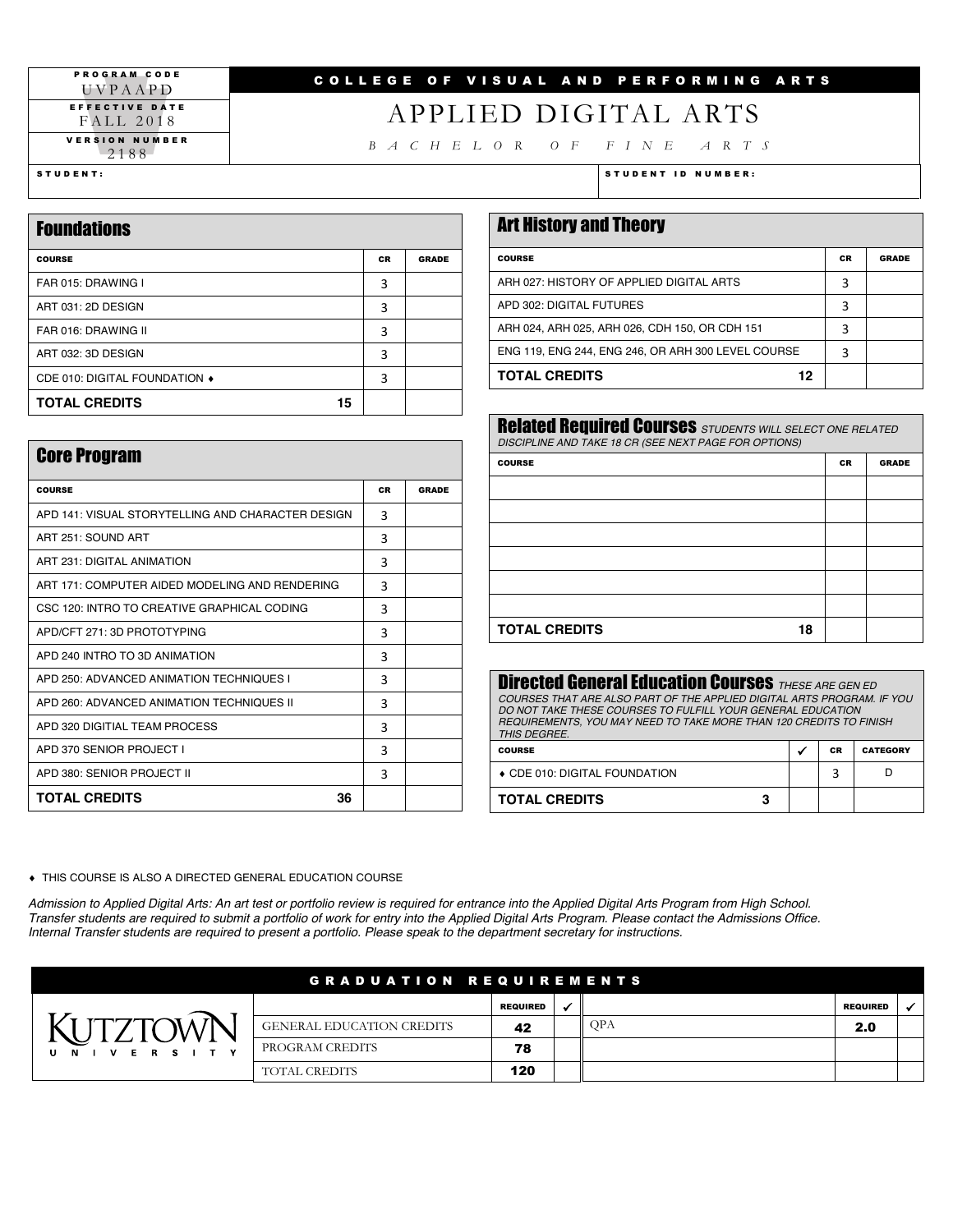#### PROGRAM CODE UVPAAPD EFFECTIVE DATE FALL 2018 VERSION NUMBER 2188

### COLLEGE OF VISUAL AND PERFORMING ARTS

## APPLIED DIGITAL ARTS

*BACHELOR OF FINE ARTS*

| <b>Foundations</b>            |           |              |  |
|-------------------------------|-----------|--------------|--|
| <b>COURSE</b>                 | <b>CR</b> | <b>GRADE</b> |  |
| FAR 015: DRAWING I            | 3         |              |  |
| ART 031: 2D DESIGN            | 3         |              |  |
| FAR 016: DRAWING II           | 3         |              |  |
| ART 032: 3D DESIGN            | 3         |              |  |
| CDE 010: DIGITAL FOUNDATION ♦ | 3         |              |  |
| <b>TOTAL CREDITS</b><br>15    |           |              |  |

#### STUDENT: STUDENT ID NUMBER:

| <b>Art History and Theory</b>                      |           |              |
|----------------------------------------------------|-----------|--------------|
| <b>COURSE</b>                                      | <b>CR</b> | <b>GRADE</b> |
| ARH 027: HISTORY OF APPLIED DIGITAL ARTS           | 3         |              |
| APD 302: DIGITAL FUTURES                           | 3         |              |
| ARH 024, ARH 025, ARH 026, CDH 150, OR CDH 151     | 3         |              |
| ENG 119, ENG 244, ENG 246, OR ARH 300 LEVEL COURSE | 3         |              |
| <b>TOTAL CREDITS</b><br>12                         |           |              |

| <b>Related Required Courses</b> STUDENTS WILL SELECT ONE RELATED<br>DISCIPLINE AND TAKE 18 CR (SEE NEXT PAGE FOR OPTIONS) |           |              |
|---------------------------------------------------------------------------------------------------------------------------|-----------|--------------|
| <b>COURSE</b>                                                                                                             | <b>CR</b> | <b>GRADE</b> |
|                                                                                                                           |           |              |
|                                                                                                                           |           |              |
|                                                                                                                           |           |              |
|                                                                                                                           |           |              |
|                                                                                                                           |           |              |
|                                                                                                                           |           |              |
| <b>TOTAL CREDITS</b><br>18                                                                                                |           |              |

| <b>Directed General Education Courses THESE ARE GEN ED</b><br>COURSES THAT ARE ALSO PART OF THE APPLIED DIGITAL ARTS PROGRAM. IF YOU<br>DO NOT TAKE THESE COURSES TO FULFILL YOUR GENERAL EDUCATION<br>REQUIREMENTS, YOU MAY NEED TO TAKE MORE THAN 120 CREDITS TO FINISH<br>THIS DEGREE. |  |           |                 |  |
|-------------------------------------------------------------------------------------------------------------------------------------------------------------------------------------------------------------------------------------------------------------------------------------------|--|-----------|-----------------|--|
| <b>COURSE</b>                                                                                                                                                                                                                                                                             |  | <b>CR</b> | <b>CATEGORY</b> |  |
| ♦ CDE 010: DIGITAL FOUNDATION<br>3                                                                                                                                                                                                                                                        |  |           |                 |  |
| <b>TOTAL CREDITS</b>                                                                                                                                                                                                                                                                      |  |           |                 |  |

 $\bullet$  THIS COURSE IS ALSO A DIRECTED GENERAL EDUCATION COURSE

Admission to Applied Digital Arts: An art test or portfolio review is required for entrance into the Applied Digital Arts Program from High School. *Transfer students are required to submit a portfolio of work for entry into the Applied Digital Arts Program. Please contact the Admissions Office. Internal Transfer students are required to present a portfolio. Please speak to the department secretary for instructions.* 

| <b>GRADUATION REQUIREMENTS</b> |                                  |                 |  |            |                 |  |
|--------------------------------|----------------------------------|-----------------|--|------------|-----------------|--|
|                                |                                  | <b>REQUIRED</b> |  |            | <b>REQUIRED</b> |  |
|                                | <b>GENERAL EDUCATION CREDITS</b> | 42              |  | <b>OPA</b> | 2.0             |  |
| ERS.<br>$\mathbf{v}$<br>- N    | PROGRAM CREDITS                  | 78              |  |            |                 |  |
|                                | <b>TOTAL CREDITS</b>             | 120             |  |            |                 |  |

| <b>Core Program</b>                               |           |              |  |
|---------------------------------------------------|-----------|--------------|--|
| <b>COURSE</b>                                     | <b>CR</b> | <b>GRADE</b> |  |
| APD 141: VISUAL STORYTELLING AND CHARACTER DESIGN | 3         |              |  |
| ART 251: SOUND ART                                | 3         |              |  |
| ART 231: DIGITAL ANIMATION                        | 3         |              |  |
| ART 171: COMPUTER AIDED MODELING AND RENDERING    | 3         |              |  |
| CSC 120: INTRO TO CREATIVE GRAPHICAL CODING       | 3         |              |  |
| APD/CFT 271: 3D PROTOTYPING                       | 3         |              |  |
| APD 240 INTRO TO 3D ANIMATION                     | 3         |              |  |
| APD 250: ADVANCED ANIMATION TECHNIQUES I          | 3         |              |  |
| APD 260: ADVANCED ANIMATION TECHNIQUES II         | 3         |              |  |
| APD 320 DIGITIAL TEAM PROCESS                     | 3         |              |  |
| APD 370 SENIOR PROJECT I                          | 3         |              |  |
| APD 380: SENIOR PROJECT II                        | 3         |              |  |
| <b>TOTAL CREDITS</b><br>36                        |           |              |  |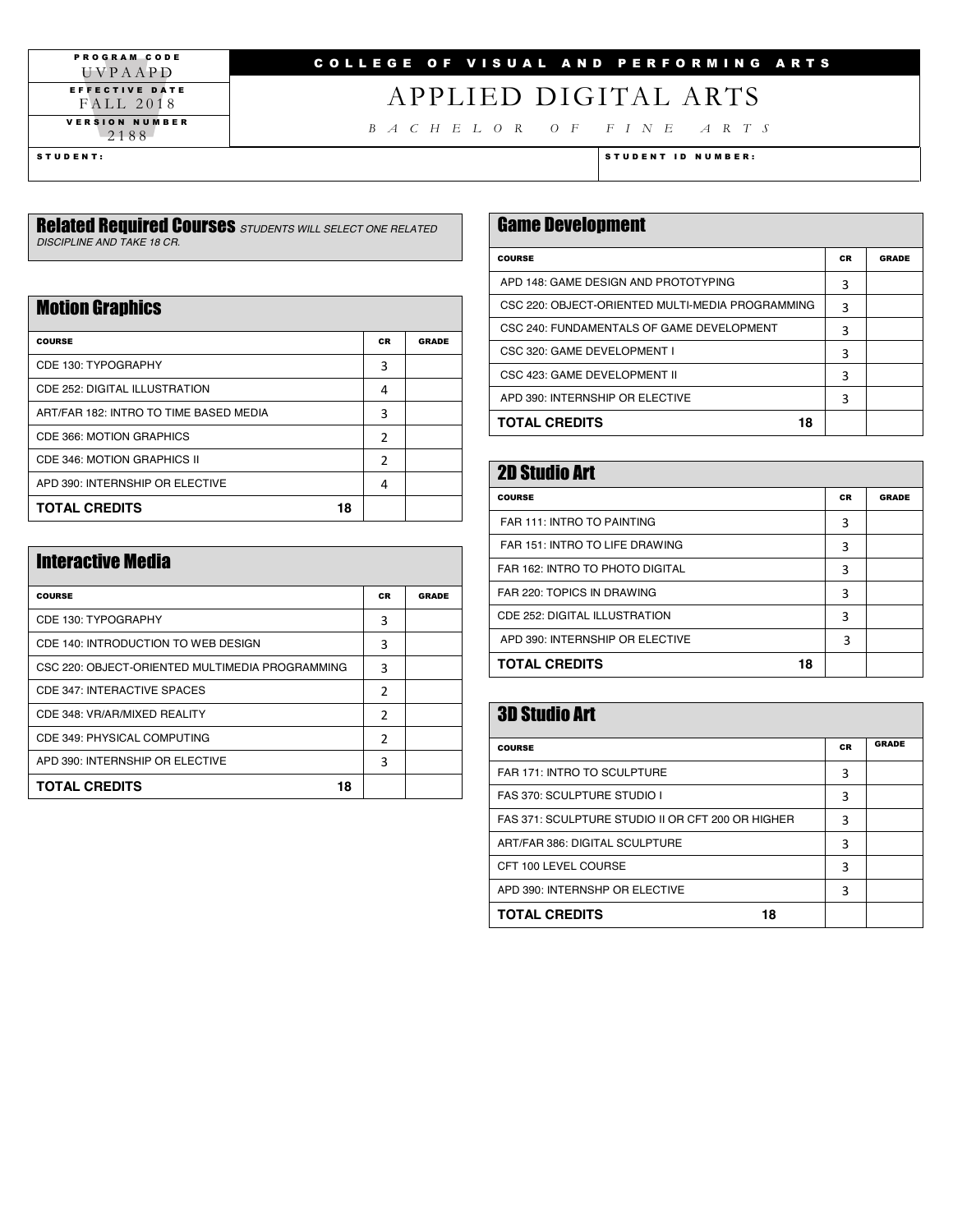PROGRAM CODE UVPAAPD EFFECTIVE DATE FALL 2018 VERSION NUMBER 2188

## COLLEGE OF VISUAL AND PERFORMING ARTS

## APPLIED DIGITAL ARTS

*BACHELOR OF FINE ARTS*

STUDENT: STUDENT ID NUMBER:

#### Related Required Courses *STUDENTS WILL SELECT ONE RELATED DISCIPLINE AND TAKE 18 CR.*

### **Motion Graphics**

| <b>COURSE</b>                          | <b>CR</b> | <b>GRADE</b> |
|----------------------------------------|-----------|--------------|
| CDE 130: TYPOGRAPHY                    | 3         |              |
| CDE 252: DIGITAL ILLUSTRATION          | 4         |              |
| ART/FAR 182: INTRO TO TIME BASED MEDIA | 3         |              |
| CDE 366: MOTION GRAPHICS               | 2         |              |
| CDE 346: MOTION GRAPHICS II            | 2         |              |
| APD 390: INTERNSHIP OR ELECTIVE        | 4         |              |
| <b>TOTAL CREDITS</b><br>18             |           |              |

| <b>Interactive Media</b>                        |                |              |  |
|-------------------------------------------------|----------------|--------------|--|
| <b>COURSE</b>                                   | <b>CR</b>      | <b>GRADE</b> |  |
| CDE 130: TYPOGRAPHY                             | 3              |              |  |
| CDE 140: INTRODUCTION TO WEB DESIGN             | 3              |              |  |
| CSC 220: OBJECT-ORIENTED MULTIMEDIA PROGRAMMING | 3              |              |  |
| CDE 347: INTERACTIVE SPACES                     | 2              |              |  |
| CDE 348: VR/AR/MIXED REALITY                    | 2              |              |  |
| CDE 349: PHYSICAL COMPUTING                     | $\overline{2}$ |              |  |
| APD 390: INTERNSHIP OR ELECTIVE                 | 3              |              |  |
| <b>TOTAL CREDITS</b><br>18                      |                |              |  |

| <b>Game Development</b>                          |           |       |
|--------------------------------------------------|-----------|-------|
| <b>COURSE</b>                                    | <b>CR</b> | GRADE |
| APD 148: GAME DESIGN AND PROTOTYPING             | 3         |       |
| CSC 220: OBJECT-ORIENTED MULTI-MEDIA PROGRAMMING | 3         |       |
| CSC 240: FUNDAMENTALS OF GAME DEVELOPMENT        | 3         |       |
| CSC 320: GAME DEVELOPMENT I                      | 3         |       |
| CSC 423: GAME DEVELOPMENT II                     | 3         |       |
| APD 390: INTERNSHIP OR ELECTIVE                  | 3         |       |
| <b>TOTAL CREDITS</b><br>18                       |           |       |

| <b>2D Studio Art</b>            |           |              |  |
|---------------------------------|-----------|--------------|--|
| <b>COURSE</b>                   | <b>CR</b> | <b>GRADE</b> |  |
| FAR 111: INTRO TO PAINTING      | 3         |              |  |
| FAR 151: INTRO TO LIFE DRAWING  | 3         |              |  |
| FAR 162: INTRO TO PHOTO DIGITAL | 3         |              |  |
| FAR 220: TOPICS IN DRAWING      | 3         |              |  |
| CDE 252: DIGITAL ILLUSTRATION   | 3         |              |  |
| APD 390: INTERNSHIP OR ELECTIVE | 3         |              |  |
| <b>TOTAL CREDITS</b><br>18      |           |              |  |

| <b>3D Studio Art</b>                              |           |              |
|---------------------------------------------------|-----------|--------------|
| <b>COURSE</b>                                     | <b>CR</b> | <b>GRADE</b> |
| FAR 171: INTRO TO SCULPTURE                       | 3         |              |
| <b>FAS 370: SCULPTURE STUDIO I</b>                | 3         |              |
| FAS 371: SCULPTURE STUDIO II OR CFT 200 OR HIGHER | 3         |              |
| ART/FAR 386: DIGITAL SCULPTURE                    | 3         |              |
| CFT 100 LEVEL COURSE                              | 3         |              |
| APD 390: INTERNSHP OR ELECTIVE                    | 3         |              |
| <b>TOTAL CREDITS</b><br>18                        |           |              |